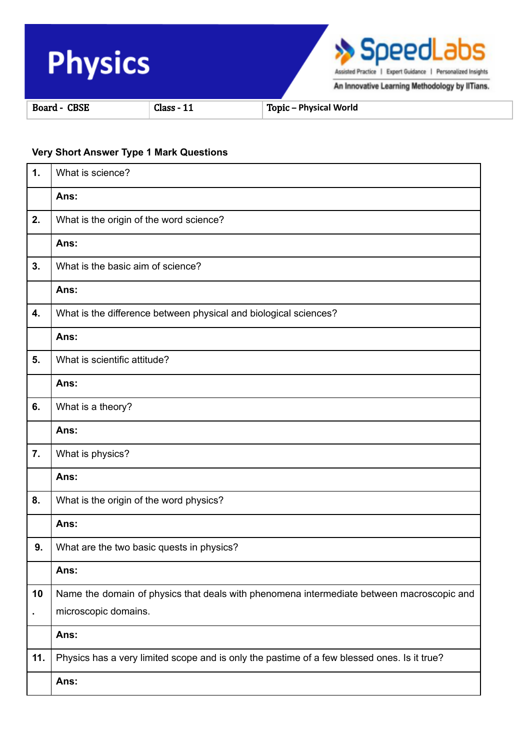

## **Very Short Answer Type 1 Mark Questions**

| 1.  | What is science?                                                                            |
|-----|---------------------------------------------------------------------------------------------|
|     | Ans:                                                                                        |
| 2.  | What is the origin of the word science?                                                     |
|     | Ans:                                                                                        |
| 3.  | What is the basic aim of science?                                                           |
|     | Ans:                                                                                        |
| 4.  | What is the difference between physical and biological sciences?                            |
|     | Ans:                                                                                        |
| 5.  | What is scientific attitude?                                                                |
|     | Ans:                                                                                        |
| 6.  | What is a theory?                                                                           |
|     | Ans:                                                                                        |
| 7.  | What is physics?                                                                            |
|     | Ans:                                                                                        |
| 8.  | What is the origin of the word physics?                                                     |
|     | Ans:                                                                                        |
| 9.  | What are the two basic quests in physics?                                                   |
|     | Ans:                                                                                        |
| 10  | Name the domain of physics that deals with phenomena intermediate between macroscopic and   |
|     | microscopic domains.                                                                        |
|     | Ans:                                                                                        |
| 11. | Physics has a very limited scope and is only the pastime of a few blessed ones. Is it true? |
|     | Ans:                                                                                        |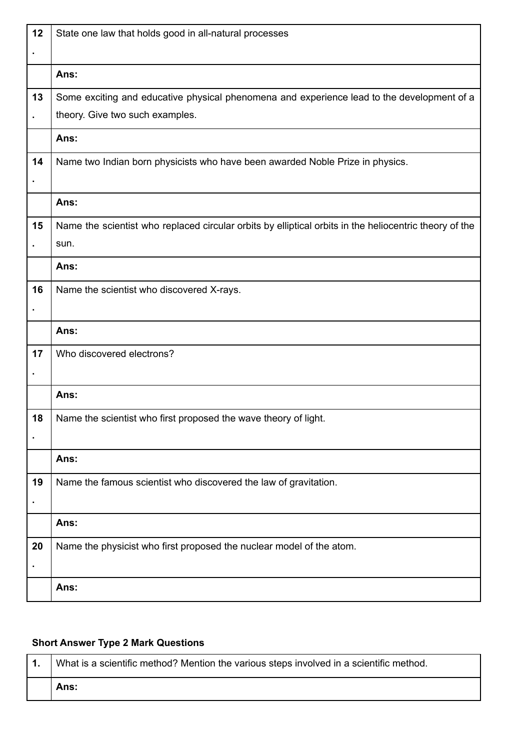| 12             | State one law that holds good in all-natural processes                                                 |
|----------------|--------------------------------------------------------------------------------------------------------|
| $\blacksquare$ |                                                                                                        |
|                | Ans:                                                                                                   |
| 13             | Some exciting and educative physical phenomena and experience lead to the development of a             |
|                | theory. Give two such examples.                                                                        |
|                | Ans:                                                                                                   |
| 14             | Name two Indian born physicists who have been awarded Noble Prize in physics.                          |
|                |                                                                                                        |
|                | Ans:                                                                                                   |
| 15             | Name the scientist who replaced circular orbits by elliptical orbits in the heliocentric theory of the |
|                | sun.                                                                                                   |
|                | Ans:                                                                                                   |
| 16             | Name the scientist who discovered X-rays.                                                              |
|                |                                                                                                        |
|                | Ans:                                                                                                   |
| 17             | Who discovered electrons?                                                                              |
|                |                                                                                                        |
|                | Ans:                                                                                                   |
| 18             | Name the scientist who first proposed the wave theory of light.                                        |
|                |                                                                                                        |
|                | Ans:                                                                                                   |
| 19             | Name the famous scientist who discovered the law of gravitation.                                       |
|                |                                                                                                        |
|                | Ans:                                                                                                   |
| 20             | Name the physicist who first proposed the nuclear model of the atom.                                   |
|                |                                                                                                        |
|                | Ans:                                                                                                   |

## **Short Answer Type 2 Mark Questions**

| What is a scientific method? Mention the various steps involved in a scientific method. |
|-----------------------------------------------------------------------------------------|
| Ans:                                                                                    |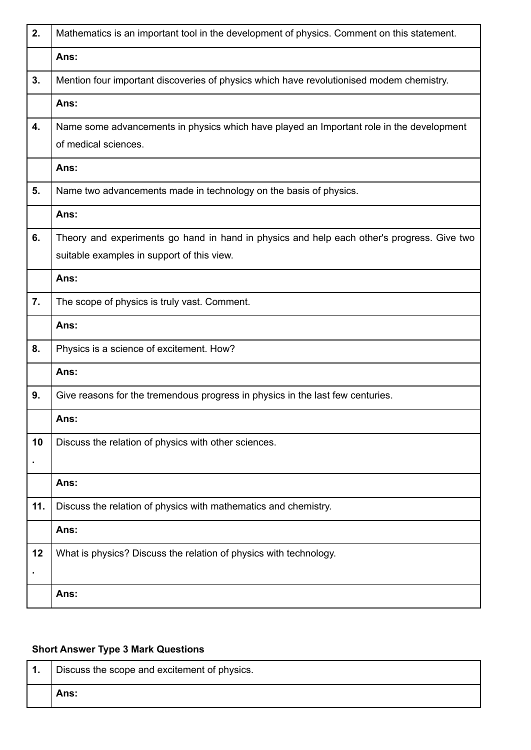| 2.  | Mathematics is an important tool in the development of physics. Comment on this statement. |
|-----|--------------------------------------------------------------------------------------------|
|     | Ans:                                                                                       |
| 3.  | Mention four important discoveries of physics which have revolutionised modem chemistry.   |
|     | Ans:                                                                                       |
| 4.  | Name some advancements in physics which have played an Important role in the development   |
|     | of medical sciences.                                                                       |
|     | Ans:                                                                                       |
| 5.  | Name two advancements made in technology on the basis of physics.                          |
|     | Ans:                                                                                       |
| 6.  | Theory and experiments go hand in hand in physics and help each other's progress. Give two |
|     | suitable examples in support of this view.                                                 |
|     | Ans:                                                                                       |
| 7.  | The scope of physics is truly vast. Comment.                                               |
|     |                                                                                            |
|     | Ans:                                                                                       |
| 8.  | Physics is a science of excitement. How?                                                   |
|     | Ans:                                                                                       |
| 9.  | Give reasons for the tremendous progress in physics in the last few centuries.             |
|     | Ans:                                                                                       |
| 10  | Discuss the relation of physics with other sciences.                                       |
|     |                                                                                            |
|     | Ans:                                                                                       |
| 11. | Discuss the relation of physics with mathematics and chemistry.                            |
|     | Ans:                                                                                       |
| 12  | What is physics? Discuss the relation of physics with technology.                          |
|     |                                                                                            |

## **Short Answer Type 3 Mark Questions**

| Discuss the scope and excitement of physics. |
|----------------------------------------------|
| Ans:                                         |